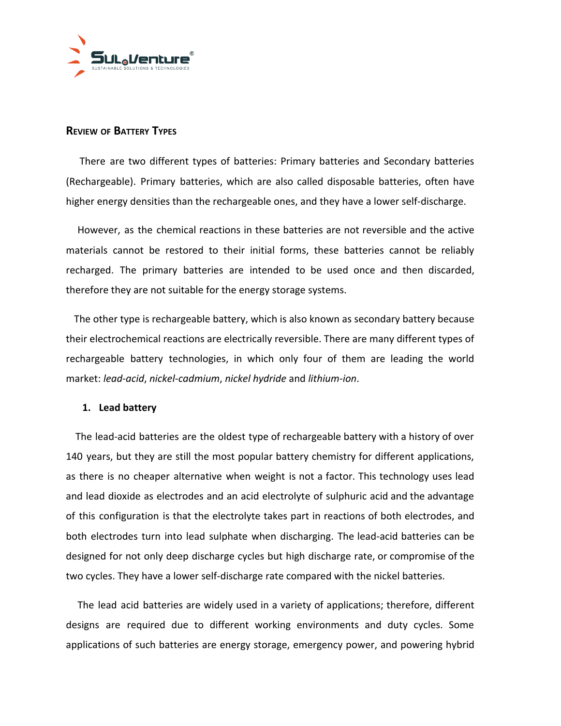

# **REVIEW OF BATTERY TYPES**

There are two different types of batteries: Primary batteries and Secondary batteries (Rechargeable). Primary batteries, which are also called disposable batteries, often have higher energy densities than the rechargeable ones, and they have a lower self-discharge.

However, as the chemical reactions in these batteries are not reversible and the active materials cannot be restored to their initial forms, these batteries cannot be reliably recharged. The primary batteries are intended to be used once and then discarded, therefore they are not suitable for the energy storage systems.

The other type is rechargeable battery, which is also known as secondary battery because their electrochemical reactions are electrically reversible. There are many different types of rechargeable battery technologies, in which only four of them are leading the world market: *lead-acid*, *nickel-cadmium*, *nickel hydride* and *lithium-ion*.

## **1. Lead battery**

The lead-acid batteries are the oldest type of rechargeable battery with a history of over 140 years, but they are still the most popular battery chemistry for different applications, as there is no cheaper alternative when weight is not a factor. This technology uses lead and lead dioxide as electrodes and an acid electrolyte of sulphuric acid and the advantage of this configuration is that the electrolyte takes part in reactions of both electrodes, and both electrodes turn into lead sulphate when discharging. The lead-acid batteries can be designed for not only deep discharge cycles but high discharge rate, or compromise of the two cycles. They have a lower self-discharge rate compared with the nickel batteries.

The lead acid batteries are widely used in a variety of applications; therefore, different designs are required due to different working environments and duty cycles. Some applications of such batteries are energy storage, emergency power, and powering hybrid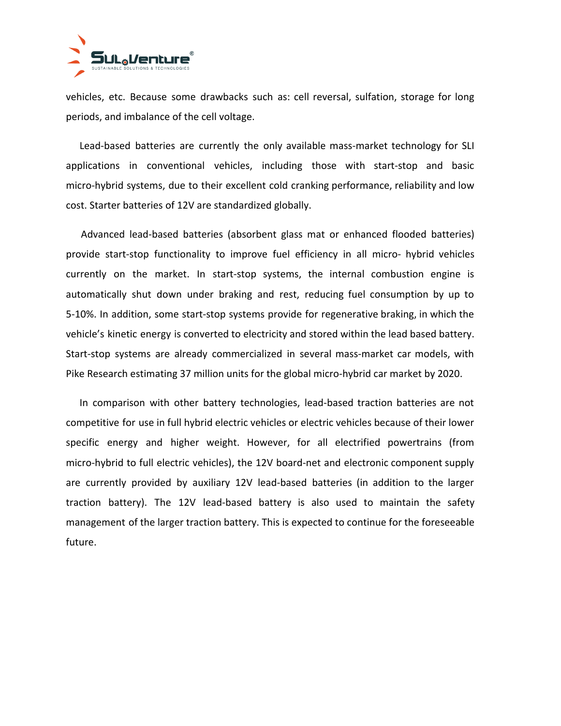

vehicles, etc. Because some drawbacks such as: cell reversal, sulfation, storage for long periods, and imbalance of the cell voltage.

Lead-based batteries are currently the only available mass-market technology for SLI applications in conventional vehicles, including those with start-stop and basic micro-hybrid systems, due to their excellent cold cranking performance, reliability and low cost. Starter batteries of 12V are standardized globally.

Advanced lead-based batteries (absorbent glass mat or enhanced flooded batteries) provide start-stop functionality to improve fuel efficiency in all micro- hybrid vehicles currently on the market. In start-stop systems, the internal combustion engine is automatically shut down under braking and rest, reducing fuel consumption by up to 5-10%. In addition, some start-stop systems provide for regenerative braking, in which the vehicle's kinetic energy is converted to electricity and stored within the lead based battery. Start-stop systems are already commercialized in several mass-market car models, with Pike Research estimating 37 million units for the global micro-hybrid car market by 2020.

In comparison with other battery technologies, lead-based traction batteries are not competitive for use in full hybrid electric vehicles or electric vehicles because of their lower specific energy and higher weight. However, for all electrified powertrains (from micro-hybrid to full electric vehicles), the 12V board-net and electronic component supply are currently provided by auxiliary 12V lead-based batteries (in addition to the larger traction battery). The 12V lead-based battery is also used to maintain the safety management of the larger traction battery. This is expected to continue for the foreseeable future.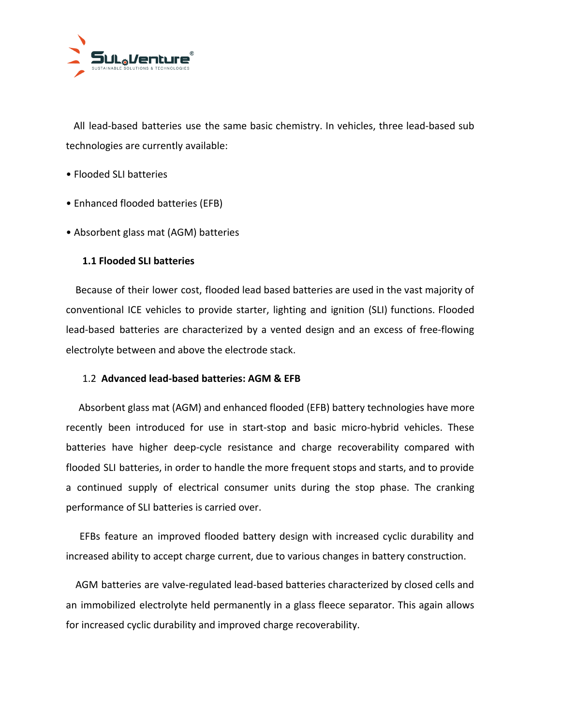

All lead-based batteries use the same basic chemistry. In vehicles, three lead-based sub technologies are currently available:

- Flooded SLI batteries
- Enhanced flooded batteries (EFB)
- Absorbent glass mat (AGM) batteries

## **1.1 Flooded SLI batteries**

Because of their lower cost, flooded lead based batteries are used in the vast majority of conventional ICE vehicles to provide starter, lighting and ignition (SLI) functions. Flooded lead-based batteries are characterized by a vented design and an excess of free-flowing electrolyte between and above the electrode stack.

## 1.2 **Advanced lead-based batteries: AGM & EFB**

Absorbent glass mat (AGM) and enhanced flooded (EFB) battery technologies have more recently been introduced for use in start-stop and basic micro-hybrid vehicles. These batteries have higher deep-cycle resistance and charge recoverability compared with flooded SLI batteries, in order to handle the more frequent stops and starts, and to provide a continued supply of electrical consumer units during the stop phase. The cranking performance of SLI batteries is carried over.

EFBs feature an improved flooded battery design with increased cyclic durability and increased ability to accept charge current, due to various changes in battery construction.

AGM batteries are valve-regulated lead-based batteries characterized by closed cells and an immobilized electrolyte held permanently in a glass fleece separator. This again allows for increased cyclic durability and improved charge recoverability.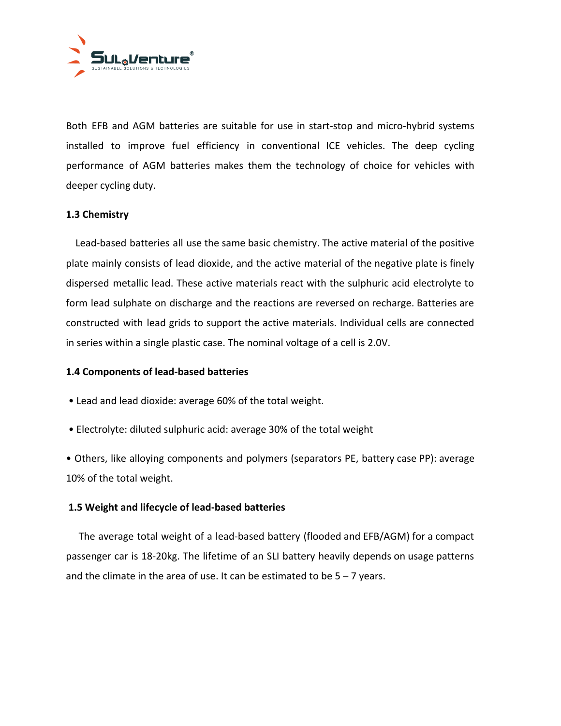

Both EFB and AGM batteries are suitable for use in start-stop and micro-hybrid systems installed to improve fuel efficiency in conventional ICE vehicles. The deep cycling performance of AGM batteries makes them the technology of choice for vehicles with deeper cycling duty.

# **1.3 Chemistry**

Lead-based batteries all use the same basic chemistry. The active material of the positive plate mainly consists of lead dioxide, and the active material of the negative plate is finely dispersed metallic lead. These active materials react with the sulphuric acid electrolyte to form lead sulphate on discharge and the reactions are reversed on recharge. Batteries are constructed with lead grids to support the active materials. Individual cells are connected in series within a single plastic case. The nominal voltage of a cell is 2.0V.

## **1.4 Components of lead-based batteries**

- Lead and lead dioxide: average 60% of the total weight.
- Electrolyte: diluted sulphuric acid: average 30% of the total weight

• Others, like alloying components and polymers (separators PE, battery case PP): average 10% of the total weight.

# **1.5 Weight and lifecycle of lead-based batteries**

The average total weight of a lead-based battery (flooded and EFB/AGM) for a compact passenger car is 18-20kg. The lifetime of an SLI battery heavily depends on usage patterns and the climate in the area of use. It can be estimated to be  $5 - 7$  years.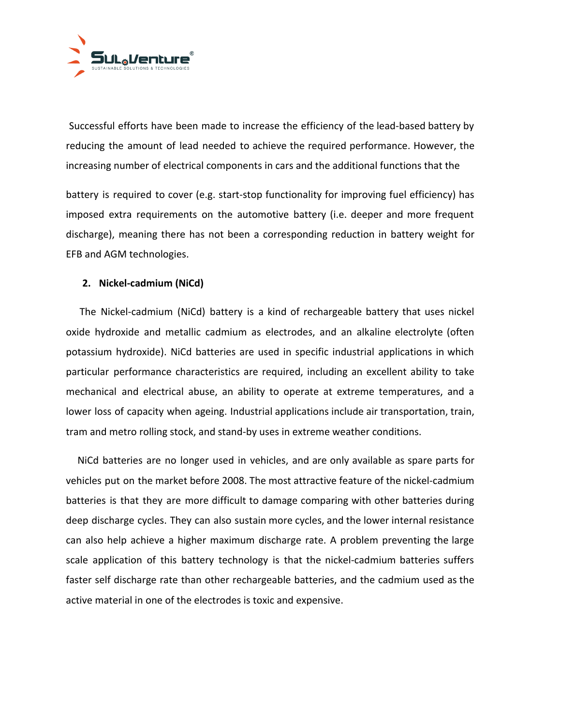

Successful efforts have been made to increase the efficiency of the lead-based battery by reducing the amount of lead needed to achieve the required performance. However, the increasing number of electrical components in cars and the additional functions that the

battery is required to cover (e.g. start-stop functionality for improving fuel efficiency) has imposed extra requirements on the automotive battery (i.e. deeper and more frequent discharge), meaning there has not been a corresponding reduction in battery weight for EFB and AGM technologies.

## **2. Nickel-cadmium (NiCd)**

The Nickel-cadmium (NiCd) battery is a kind of rechargeable battery that uses nickel oxide hydroxide and metallic cadmium as electrodes, and an alkaline electrolyte (often potassium hydroxide). NiCd batteries are used in specific industrial applications in which particular performance characteristics are required, including an excellent ability to take mechanical and electrical abuse, an ability to operate at extreme temperatures, and a lower loss of capacity when ageing. Industrial applications include air transportation, train, tram and metro rolling stock, and stand-by uses in extreme weather conditions.

NiCd batteries are no longer used in vehicles, and are only available as spare parts for vehicles put on the market before 2008. The most attractive feature of the nickel-cadmium batteries is that they are more difficult to damage comparing with other batteries during deep discharge cycles. They can also sustain more cycles, and the lower internal resistance can also help achieve a higher maximum discharge rate. A problem preventing the large scale application of this battery technology is that the nickel-cadmium batteries suffers faster self discharge rate than other rechargeable batteries, and the cadmium used as the active material in one of the electrodes is toxic and expensive.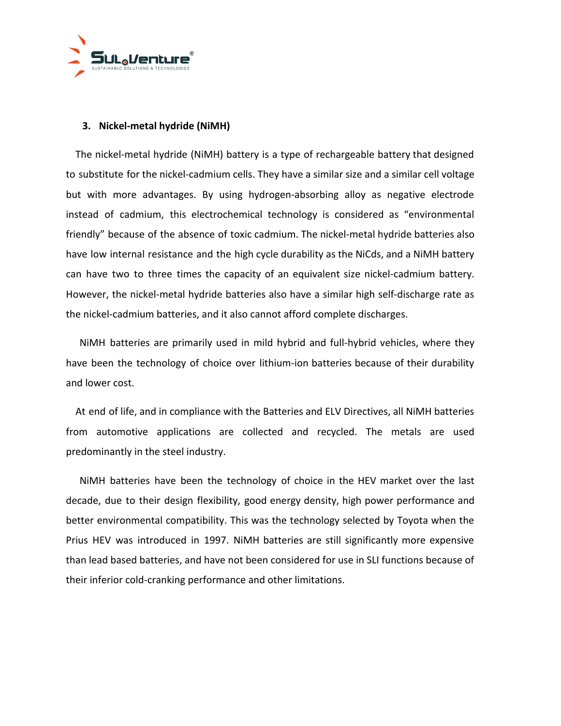

## **3. Nickel-metal hydride (NiMH)**

The nickel-metal hydride (NiMH) battery is a type of rechargeable battery that designed to substitute for the nickel-cadmium cells. They have a similar size and a similar cell voltage but with more advantages. By using hydrogen-absorbing alloy as negative electrode instead of cadmium, this electrochemical technology is considered as "environmental friendly" because of the absence of toxic cadmium. The nickel-metal hydride batteries also have low internal resistance and the high cycle durability as the NiCds, and a NiMH battery can have two to three times the capacity of an equivalent size nickel-cadmium battery. However, the nickel-metal hydride batteries also have a similar high self-discharge rate as the nickel-cadmium batteries, and it also cannot afford complete discharges.

NiMH batteries are primarily used in mild hybrid and full-hybrid vehicles, where they have been the technology of choice over lithium-ion batteries because of their durability and lower cost.

At end of life, and in compliance with the Batteries and ELV Directives, all NiMH batteries from automotive applications are collected and recycled. The metals are used predominantly in the steel industry.

NiMH batteries have been the technology of choice in the HEV market over the last decade, due to their design flexibility, good energy density, high power performance and better environmental compatibility. This was the technology selected by Toyota when the Prius HEV was introduced in 1997. NiMH batteries are still significantly more expensive than lead based batteries, and have not been considered for use in SLI functions because of their inferior cold-cranking performance and other limitations.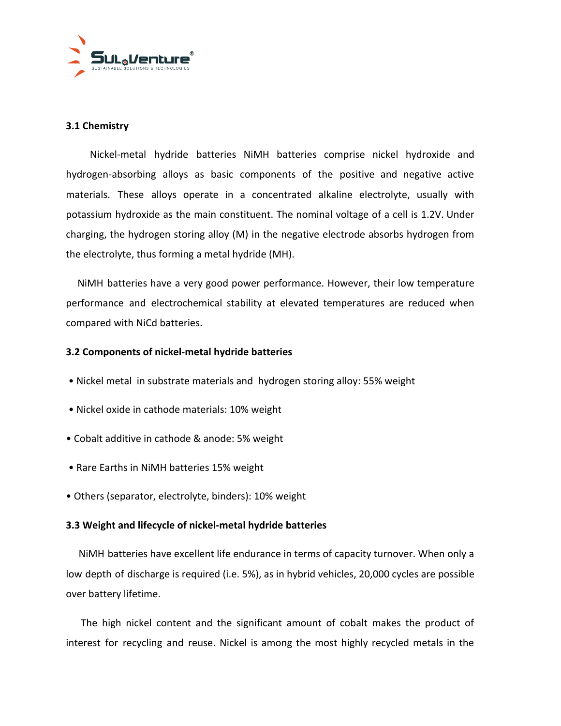

# **3.1 Chemistry**

Nickel-metal hydride batteries NiMH batteries comprise nickel hydroxide and hydrogen-absorbing alloys as basic components of the positive and negative active materials. These alloys operate in a concentrated alkaline electrolyte, usually with potassium hydroxide as the main constituent. The nominal voltage of a cell is 1.2V. Under charging, the hydrogen storing alloy (M) in the negative electrode absorbs hydrogen from the electrolyte, thus forming a metal hydride (MH).

NiMH batteries have a very good power performance. However, their low temperature performance and electrochemical stability at elevated temperatures are reduced when compared with NiCd batteries.

## **3.2 Components of nickel-metal hydride batteries**

- Nickel metal in substrate materials and hydrogen storing alloy: 55% weight
- Nickel oxide in cathode materials: 10% weight
- Cobalt additive in cathode & anode: 5% weight
- Rare Earths in NiMH batteries 15% weight
- Others (separator, electrolyte, binders): 10% weight

## **3.3 Weight and lifecycle of nickel-metal hydride batteries**

NiMH batteries have excellent life endurance in terms of capacity turnover. When only a low depth of discharge is required (i.e. 5%), as in hybrid vehicles, 20,000 cycles are possible over battery lifetime.

The high nickel content and the significant amount of cobalt makes the product of interest for recycling and reuse. Nickel is among the most highly recycled metals in the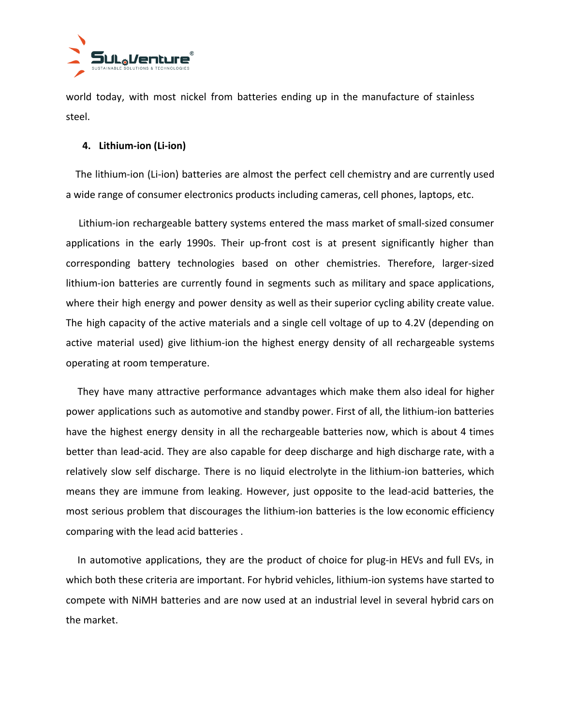

world today, with most nickel from batteries ending up in the manufacture of stainless steel.

## **4. Lithium-ion (Li-ion)**

The lithium-ion (Li-ion) batteries are almost the perfect cell chemistry and are currently used a wide range of consumer electronics products including cameras, cell phones, laptops, etc.

Lithium-ion rechargeable battery systems entered the mass market of small-sized consumer applications in the early 1990s. Their up-front cost is at present significantly higher than corresponding battery technologies based on other chemistries. Therefore, larger-sized lithium-ion batteries are currently found in segments such as military and space applications, where their high energy and power density as well as their superior cycling ability create value. The high capacity of the active materials and a single cell voltage of up to 4.2V (depending on active material used) give lithium-ion the highest energy density of all rechargeable systems operating at room temperature.

They have many attractive performance advantages which make them also ideal for higher power applications such as automotive and standby power. First of all, the lithium-ion batteries have the highest energy density in all the rechargeable batteries now, which is about 4 times better than lead-acid. They are also capable for deep discharge and high discharge rate, with a relatively slow self discharge. There is no liquid electrolyte in the lithium-ion batteries, which means they are immune from leaking. However, just opposite to the lead-acid batteries, the most serious problem that discourages the lithium-ion batteries is the low economic efficiency comparing with the lead acid batteries .

In automotive applications, they are the product of choice for plug-in HEVs and full EVs, in which both these criteria are important. For hybrid vehicles, lithium-ion systems have started to compete with NiMH batteries and are now used at an industrial level in several hybrid cars on the market.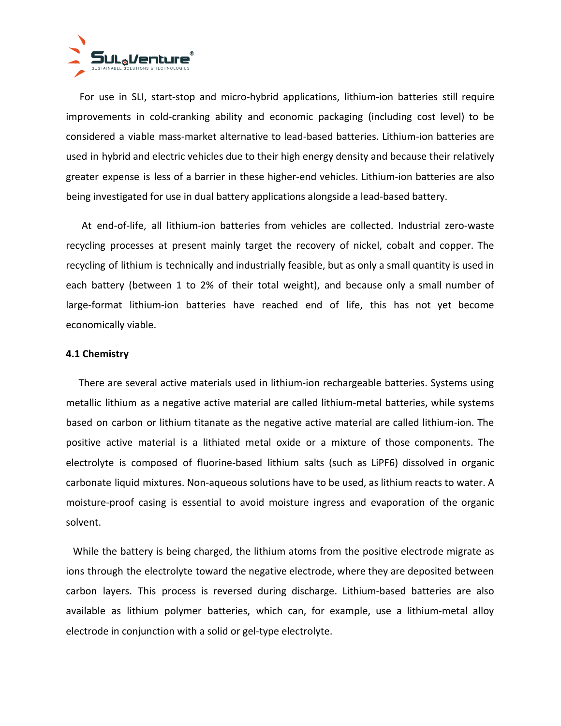

For use in SLI, start-stop and micro-hybrid applications, lithium-ion batteries still require improvements in cold-cranking ability and economic packaging (including cost level) to be considered a viable mass-market alternative to lead-based batteries. Lithium-ion batteries are used in hybrid and electric vehicles due to their high energy density and because their relatively greater expense is less of a barrier in these higher-end vehicles. Lithium-ion batteries are also being investigated for use in dual battery applications alongside a lead-based battery.

At end-of-life, all lithium-ion batteries from vehicles are collected. Industrial zero-waste recycling processes at present mainly target the recovery of nickel, cobalt and copper. The recycling of lithium is technically and industrially feasible, but as only a small quantity is used in each battery (between 1 to 2% of their total weight), and because only a small number of large-format lithium-ion batteries have reached end of life, this has not yet become economically viable.

#### **4.1 Chemistry**

There are several active materials used in lithium-ion rechargeable batteries. Systems using metallic lithium as a negative active material are called lithium-metal batteries, while systems based on carbon or lithium titanate as the negative active material are called lithium-ion. The positive active material is a lithiated metal oxide or a mixture of those components. The electrolyte is composed of fluorine-based lithium salts (such as LiPF6) dissolved in organic carbonate liquid mixtures. Non-aqueous solutions have to be used, as lithium reacts to water. A moisture-proof casing is essential to avoid moisture ingress and evaporation of the organic solvent.

While the battery is being charged, the lithium atoms from the positive electrode migrate as ions through the electrolyte toward the negative electrode, where they are deposited between carbon layers. This process is reversed during discharge. Lithium-based batteries are also available as lithium polymer batteries, which can, for example, use a lithium-metal alloy electrode in conjunction with a solid or gel-type electrolyte.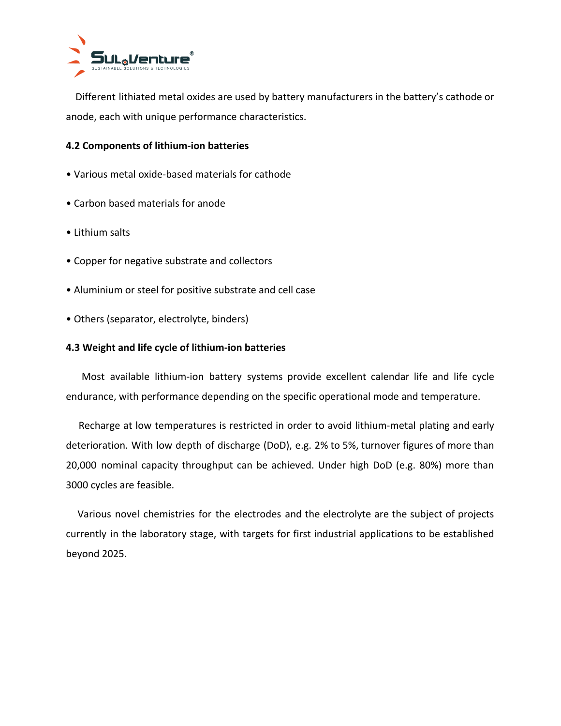

Different lithiated metal oxides are used by battery manufacturers in the battery's cathode or anode, each with unique performance characteristics.

# **4.2 Components of lithium-ion batteries**

- Various metal oxide-based materials for cathode
- Carbon based materials for anode
- Lithium salts
- Copper for negative substrate and collectors
- Aluminium or steel for positive substrate and cell case
- Others (separator, electrolyte, binders)

## **4.3 Weight and life cycle of lithium-ion batteries**

Most available lithium-ion battery systems provide excellent calendar life and life cycle endurance, with performance depending on the specific operational mode and temperature.

Recharge at low temperatures is restricted in order to avoid lithium-metal plating and early deterioration. With low depth of discharge (DoD), e.g. 2% to 5%, turnover figures of more than 20,000 nominal capacity throughput can be achieved. Under high DoD (e.g. 80%) more than 3000 cycles are feasible.

Various novel chemistries for the electrodes and the electrolyte are the subject of projects currently in the laboratory stage, with targets for first industrial applications to be established beyond 2025.